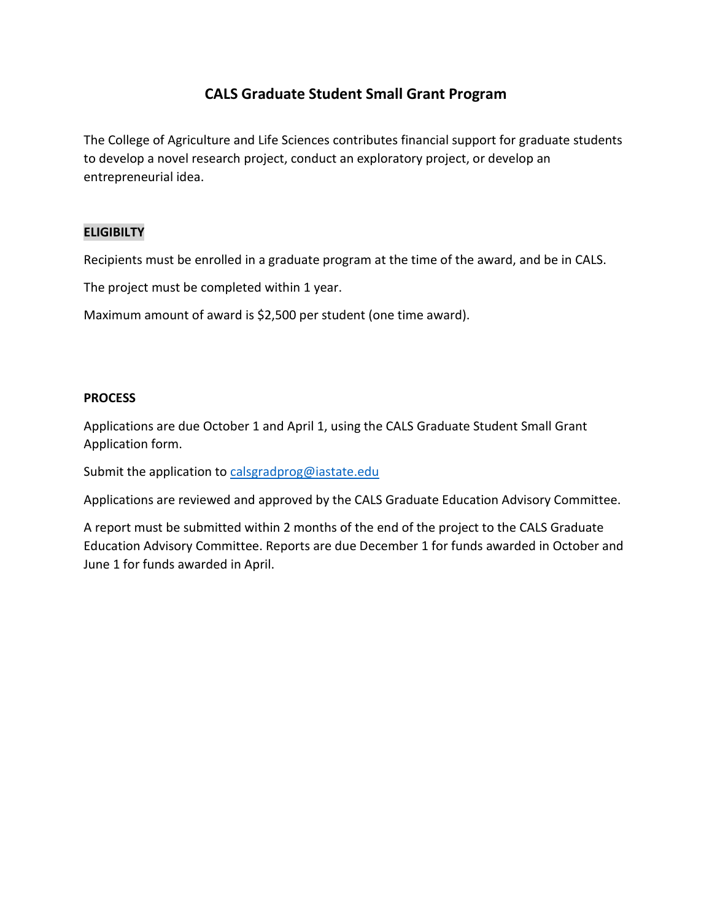## **CALS Graduate Student Small Grant Program**

The College of Agriculture and Life Sciences contributes financial support for graduate students to develop a novel research project, conduct an exploratory project, or develop an entrepreneurial idea.

## **ELIGIBILTY**

Recipients must be enrolled in a graduate program at the time of the award, and be in CALS.

The project must be completed within 1 year.

Maximum amount of award is \$2,500 per student (one time award).

## **PROCESS**

Applications are due October 1 and April 1, using the CALS Graduate Student Small Grant Application form.

Submit the application to [calsgradprog@iastate.edu](mailto:calsgradprog@iastate.edu)

Applications are reviewed and approved by the CALS Graduate Education Advisory Committee.

A report must be submitted within 2 months of the end of the project to the CALS Graduate Education Advisory Committee. Reports are due December 1 for funds awarded in October and June 1 for funds awarded in April.